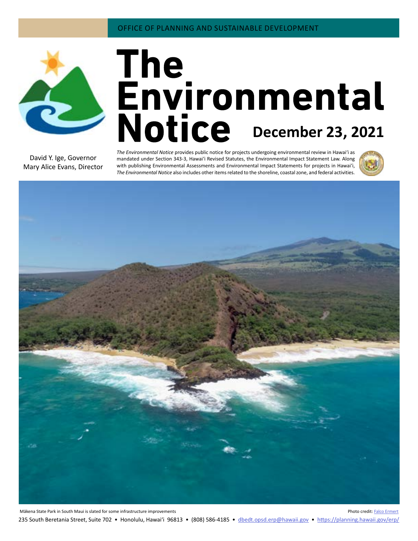

# **December 23, 2021**

David Y. Ige, Governor Mary Alice Evans, Director

*The Environmental Notice* provides public notice for projects undergoing environmental review in Hawaiʻi as mandated under Section 343-3, Hawaiʻi Revised Statutes, the Environmental Impact Statement Law. Along with publishing Environmental Assessments and Environmental Impact Statements for projects in Hawai'i, *The Environmental Notice* also includes other items related to the shoreline, coastal zone, and federal activities.



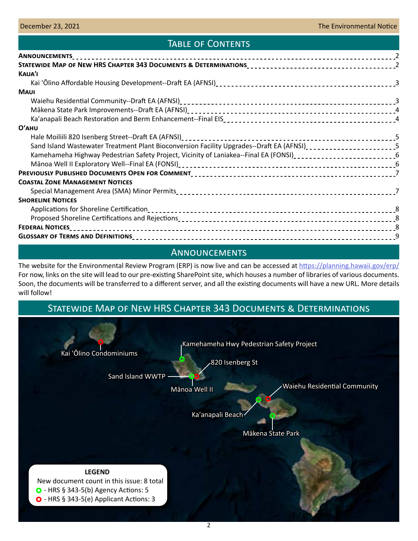# TABLE OF CONTENTS

| <b>KAUA'I</b>                                                                                                                                                                                                                     |  |
|-----------------------------------------------------------------------------------------------------------------------------------------------------------------------------------------------------------------------------------|--|
|                                                                                                                                                                                                                                   |  |
| <b>MAUI</b>                                                                                                                                                                                                                       |  |
|                                                                                                                                                                                                                                   |  |
|                                                                                                                                                                                                                                   |  |
|                                                                                                                                                                                                                                   |  |
| O'AHU                                                                                                                                                                                                                             |  |
| Hale Moiliili 820 Isenberg Street--Draft EA (AFNSI)<br>2012 - 2022 - 2022 - 2022 - 2022 - 2022 - 2022 - 2023 - 2024 - 2024 - 2024 - 2023 - 2022 - 2022 - 2022 - 2023 - 2023 - 2024 - 2024 - 2023 - 2024 - 2022 - 2023 - 2024 - 20 |  |
| Sand Island Wastewater Treatment Plant Bioconversion Facility Upgrades--Draft EA (AFNSI) <sub>-------------------</sub> 5                                                                                                         |  |
| Kamehameha Highway Pedestrian Safety Project, Vicinity of Laniakea--Final EA (FONSI)_________________________6                                                                                                                    |  |
|                                                                                                                                                                                                                                   |  |
|                                                                                                                                                                                                                                   |  |
| <b>COASTAL ZONE MANAGEMENT NOTICES</b>                                                                                                                                                                                            |  |
|                                                                                                                                                                                                                                   |  |
| <b>SHORELINE NOTICES</b>                                                                                                                                                                                                          |  |
|                                                                                                                                                                                                                                   |  |
|                                                                                                                                                                                                                                   |  |
|                                                                                                                                                                                                                                   |  |
|                                                                                                                                                                                                                                   |  |
|                                                                                                                                                                                                                                   |  |

# Announcements

The website for the Environmental Review Program (ERP) is now live and can be accessed at<https://planning.hawaii.gov/erp/> For now, links on the site will lead to our pre-existing SharePoint site, which houses a number of libraries of various documents. Soon, the documents will be transferred to a different server, and all the existing documents will have a new URL. More details will follow!

# Statewide Map of New HRS Chapter 343 Documents & Determinations

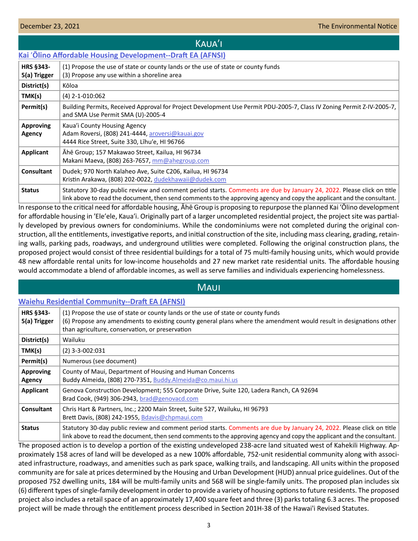# Kauaʹi

# <span id="page-2-0"></span>**Kai** ʹ**[Ōlino Affordable Housing Development--Draft EA \(AFNSI\)](http://oeqc2.doh.hawaii.gov/Doc_Library/2021-12-23-KA-DEA-Kai-Olino-Affordable-Housing-Development.pdf)**

| HRS §343-<br>5(a) Trigger  | (1) Propose the use of state or county lands or the use of state or county funds<br>(3) Propose any use within a shoreline area                                                                                                                 |
|----------------------------|-------------------------------------------------------------------------------------------------------------------------------------------------------------------------------------------------------------------------------------------------|
| District(s)                | Kōloa                                                                                                                                                                                                                                           |
| TMK(s)                     | $(4)$ 2-1-010:062                                                                                                                                                                                                                               |
| Permit(s)                  | Building Permits, Received Approval for Project Development Use Permit PDU-2005-7, Class IV Zoning Permit Z-IV-2005-7,<br>and SMA Use Permit SMA (U)-2005-4                                                                                     |
| <b>Approving</b><br>Agency | Kaua'i County Housing Agency<br>Adam Roversi, (808) 241-4444, aroversi@kauai.gov<br>4444 Rice Street, Suite 330, Lihu'e, HI 96766                                                                                                               |
| Applicant                  | Ahē Group; 157 Makawao Street, Kailua, HI 96734<br>Makani Maeva, (808) 263-7657, mm@ahegroup.com                                                                                                                                                |
| <b>Consultant</b>          | Dudek; 970 North Kalaheo Ave, Suite C206, Kailua, HI 96734<br>Kristin Arakawa, (808) 202-0022, dudekhawaii@dudek.com                                                                                                                            |
| <b>Status</b>              | Statutory 30-day public review and comment period starts. Comments are due by January 24, 2022. Please click on title<br>link above to read the document, then send comments to the approving agency and copy the applicant and the consultant. |

In response to the critical need for affordable housing, Āhē Group is proposing to repurpose the planned Kai ʹŌlino development for affordable housing in 'Ele'ele, Kaua'i. Originally part of a larger uncompleted residential project, the project site was partially developed by previous owners for condominiums. While the condominiums were not completed during the original construction, all the entitlements, investigative reports, and initial construction of the site, including mass clearing, grading, retaining walls, parking pads, roadways, and underground utilities were completed. Following the original construction plans, the proposed project would consist of three residential buildings for a total of 75 multi-family housing units, which would provide 48 new affordable rental units for low-income households and 27 new market rate residential units. The affordable housing would accommodate a blend of affordable incomes, as well as serve families and individuals experiencing homelessness.

# **MAUI**

## **[Waiehu Residential Community--Draft EA \(AFNSI\)](http://oeqc2.doh.hawaii.gov/Doc_Library/2021-12-23-MA-DEA-Waiehu-Residential-Community.pdf)**

| <b>HRS §343-</b><br>5(a) Trigger | (1) Propose the use of state or county lands or the use of state or county funds<br>(6) Propose any amendments to existing county general plans where the amendment would result in designations other<br>than agriculture, conservation, or preservation |
|----------------------------------|-----------------------------------------------------------------------------------------------------------------------------------------------------------------------------------------------------------------------------------------------------------|
| District(s)                      | Wailuku                                                                                                                                                                                                                                                   |
| TMK(s)                           | $(2)$ 3-3-002:031                                                                                                                                                                                                                                         |
| Permit(s)                        | Numerous (see document)                                                                                                                                                                                                                                   |
| <b>Approving</b><br>Agency       | County of Maui, Department of Housing and Human Concerns<br>Buddy Almeida, (808) 270-7351, Buddy Almeida@co.maui.hi.us                                                                                                                                    |
| Applicant                        | Genova Construction Development; 555 Corporate Drive, Suite 120, Ladera Ranch, CA 92694<br>Brad Cook, (949) 306-2943, brad@genovacd.com                                                                                                                   |
| <b>Consultant</b>                | Chris Hart & Partners, Inc.; 2200 Main Street, Suite 527, Wailuku, HI 96793<br>Brett Davis, (808) 242-1955, Bdavis@chpmaui.com                                                                                                                            |
| <b>Status</b>                    | Statutory 30-day public review and comment period starts. Comments are due by January 24, 2022. Please click on title<br>link above to read the document, then send comments to the approving agency and copy the applicant and the consultant.           |

The proposed action is to develop a portion of the existing undeveloped 238-acre land situated west of Kahekili Highway. Approximately 158 acres of land will be developed as a new 100% affordable, 752-unit residential community along with associated infrastructure, roadways, and amenities such as park space, walking trails, and landscaping. All units within the proposed community are for sale at prices determined by the Housing and Urban Development (HUD) annual price guidelines. Out of the proposed 752 dwelling units, 184 will be multi-family units and 568 will be single-family units. The proposed plan includes six (6) different types of single-family development in order to provide a variety of housing options to future residents. The proposed project also includes a retail space of an approximately 17,400 square feet and three (3) parks totaling 6.3 acres. The proposed project will be made through the entitlement process described in Section 201H-38 of the Hawai'i Revised Statutes.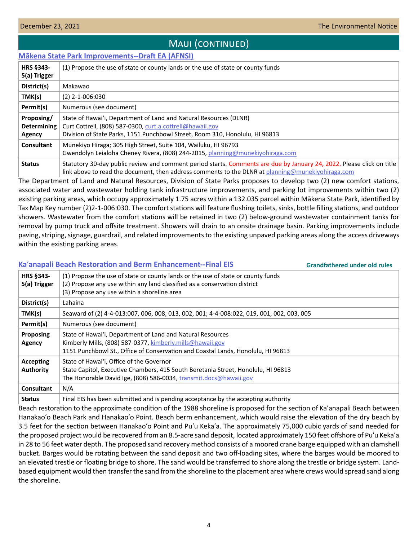# Maui (continued)

# <span id="page-3-0"></span>**[Mākena State Park Improvements--Draft EA \(AFNSI\)](http://oeqc2.doh.hawaii.gov/Doc_Library/2021-12-23-MA-DEA-Makena-State-Park-Improvements.pdf)**

| <b>HRS §343-</b><br>5(a) Trigger           | (1) Propose the use of state or county lands or the use of state or county funds                                                                                                                                           |
|--------------------------------------------|----------------------------------------------------------------------------------------------------------------------------------------------------------------------------------------------------------------------------|
| District(s)                                | Makawao                                                                                                                                                                                                                    |
| TMK(s)                                     | $(2)$ 2-1-006:030                                                                                                                                                                                                          |
| Permit(s)                                  | Numerous (see document)                                                                                                                                                                                                    |
| Proposing/<br><b>Determining</b><br>Agency | State of Hawai'i, Department of Land and Natural Resources (DLNR)<br>Curt Cottrell, (808) 587-0300, curt.a.cottrell@hawaii.gov<br>Division of State Parks, 1151 Punchbowl Street, Room 310, Honolulu, HI 96813             |
| <b>Consultant</b>                          | Munekiyo Hiraga; 305 High Street, Suite 104, Wailuku, HI 96793<br>Gwendolyn Leialoha Cheney Rivera, (808) 244-2015, planning@munekiyohiraga.com                                                                            |
| <b>Status</b>                              | Statutory 30-day public review and comment period starts. Comments are due by January 24, 2022. Please click on title<br>link above to read the document, then address comments to the DLNR at planning@munekiyohiraga.com |

The Department of Land and Natural Resources, Division of State Parks proposes to develop two (2) new comfort stations, associated water and wastewater holding tank infrastructure improvements, and parking lot improvements within two (2) existing parking areas, which occupy approximately 1.75 acres within a 132.035 parcel within Mākena State Park, identified by Tax Map Key number (2)2-1-006:030. The comfort stations will feature flushing toilets, sinks, bottle filling stations, and outdoor showers. Wastewater from the comfort stations will be retained in two (2) below-ground wastewater containment tanks for removal by pump truck and offsite treatment. Showers will drain to an onsite drainage basin. Parking improvements include paving, striping, signage, guardrail, and related improvements to the existing unpaved parking areas along the access driveways within the existing parking areas.

|                                      | Ka'anapali Beach Restoration and Berm Enhancement--Final EIS                                                                                                                                                 | <b>Grandfathered under old rules</b> |
|--------------------------------------|--------------------------------------------------------------------------------------------------------------------------------------------------------------------------------------------------------------|--------------------------------------|
| <b>HRS §343-</b><br>5(a) Trigger     | (1) Propose the use of state or county lands or the use of state or county funds<br>(2) Propose any use within any land classified as a conservation district<br>(3) Propose any use within a shoreline area |                                      |
| District(s)                          | Lahaina                                                                                                                                                                                                      |                                      |
| TMK(s)                               | Seaward of (2) 4-4-013:007, 006, 008, 013, 002, 001; 4-4-008:022, 019, 001, 002, 003, 005                                                                                                                    |                                      |
| Permit(s)                            | Numerous (see document)                                                                                                                                                                                      |                                      |
| Proposing<br><b>Agency</b>           | State of Hawai'i, Department of Land and Natural Resources<br>Kimberly Mills, (808) 587-0377, kimberly.mills@hawaii.gov<br>1151 Punchbowl St., Office of Conservation and Coastal Lands, Honolulu, HI 96813  |                                      |
| <b>Accepting</b><br><b>Authority</b> | State of Hawai'i, Office of the Governor<br>State Capitol, Executive Chambers, 415 South Beretania Street, Honolulu, HI 96813<br>The Honorable David Ige, (808) 586-0034, transmit.docs@hawaii.gov           |                                      |
| <b>Consultant</b>                    | N/A                                                                                                                                                                                                          |                                      |
| <b>Status</b>                        | Final EIS has been submitted and is pending acceptance by the accepting authority                                                                                                                            |                                      |

Beach restoration to the approximate condition of the 1988 shoreline is proposed for the section of Ka'anapali Beach between Hanakao'o Beach Park and Hanakao'o Point. Beach berm enhancement, which would raise the elevation of the dry beach by 3.5 feet for the section between Hanakaoʹo Point and Puʹu Kekaʹa. The approximately 75,000 cubic yards of sand needed for the proposed project would be recovered from an 8.5-acre sand deposit, located approximately 150 feet offshore of Puʹu Kekaʹa in 28 to 56 feet water depth. The proposed sand recovery method consists of a moored crane barge equipped with an clamshell bucket. Barges would be rotating between the sand deposit and two off-loading sites, where the barges would be moored to an elevated trestle or floating bridge to shore. The sand would be transferred to shore along the trestle or bridge system. Landbased equipment would then transfer the sand from the shoreline to the placement area where crews would spread sand along the shoreline.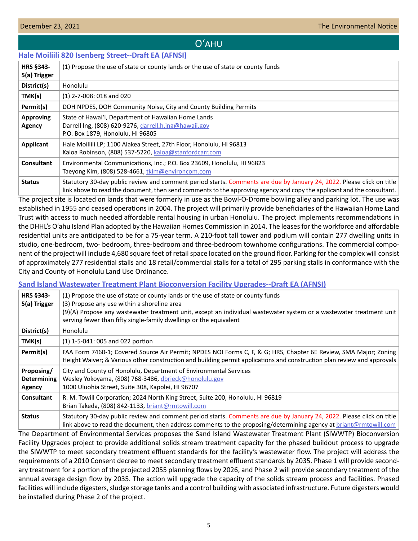# Oʻahu

# <span id="page-4-0"></span>**[Hale Moiliili 820 Isenberg Street--Draft EA \(AFNSI\)](http://oeqc2.doh.hawaii.gov/Doc_Library/2021-12-23-OA-DEA-Hale-Moiliili-820-Isenberg-Street.pdf)**

| <b>HRS §343-</b><br>5(a) Trigger | (1) Propose the use of state or county lands or the use of state or county funds                                                                                                                                                                |
|----------------------------------|-------------------------------------------------------------------------------------------------------------------------------------------------------------------------------------------------------------------------------------------------|
| District(s)                      | Honolulu                                                                                                                                                                                                                                        |
| TMK(s)                           | $(1)$ 2-7-008: 018 and 020                                                                                                                                                                                                                      |
| Permit(s)                        | DOH NPDES, DOH Community Noise, City and County Building Permits                                                                                                                                                                                |
| <b>Approving</b><br>Agency       | State of Hawai'i, Department of Hawaiian Home Lands<br>Darrell Ing, (808) 620-9276, darrell.h.ing@hawaii.gov<br>P.O. Box 1879, Honolulu, HI 96805                                                                                               |
| Applicant                        | Hale Moiliili LP; 1100 Alakea Street, 27th Floor, Honolulu, HI 96813<br>Kaloa Robinson, (808) 537-5220, kaloa@stanfordcarr.com                                                                                                                  |
| <b>Consultant</b>                | Environmental Communications, Inc.; P.O. Box 23609, Honolulu, HI 96823<br>Taeyong Kim, (808) 528-4661, tkim@environcom.com                                                                                                                      |
| <b>Status</b>                    | Statutory 30-day public review and comment period starts. Comments are due by January 24, 2022. Please click on title<br>link above to read the document, then send comments to the approving agency and copy the applicant and the consultant. |

The project site is located on lands that were formerly in use as the Bowl-O-Drome bowling alley and parking lot. The use was established in 1955 and ceased operations in 2004. The project will primarily provide beneficiaries of the Hawaiian Home Land Trust with access to much needed affordable rental housing in urban Honolulu. The project implements recommendations in the DHHL's Oʹahu Island Plan adopted by the Hawaiian Homes Commission in 2014. The leases for the workforce and affordable residential units are anticipated to be for a 75-year term. A 210-foot tall tower and podium will contain 277 dwelling units in studio, one-bedroom, two- bedroom, three-bedroom and three-bedroom townhome configurations. The commercial component of the project will include 4,680 square feet of retail space located on the ground floor. Parking for the complex will consist of approximately 277 residential stalls and 18 retail/commercial stalls for a total of 295 parking stalls in conformance with the City and County of Honolulu Land Use Ordinance.

# **[Sand Island Wastewater Treatment Plant Bioconversion Facility Upgrades--Draft EA \(AFNSI\)](http://oeqc2.doh.hawaii.gov/Doc_Library/2021-12-23-OA-DEA-Sand-Island-WWTP-Bioconversion-Facility-Upgrades.pdf)**

| <b>HRS §343-</b><br>5(a) Trigger           | (1) Propose the use of state or county lands or the use of state or county funds<br>(3) Propose any use within a shoreline area<br>(9)(A) Propose any wastewater treatment unit, except an individual wastewater system or a wastewater treatment unit<br>serving fewer than fifty single-family dwellings or the equivalent |
|--------------------------------------------|------------------------------------------------------------------------------------------------------------------------------------------------------------------------------------------------------------------------------------------------------------------------------------------------------------------------------|
| District(s)                                | Honolulu                                                                                                                                                                                                                                                                                                                     |
| TMK(s)                                     | (1) 1-5-041: 005 and 022 portion                                                                                                                                                                                                                                                                                             |
| Permit(s)                                  | FAA Form 7460-1; Covered Source Air Permit; NPDES NOI Forms C, F, & G; HRS, Chapter 6E Review, SMA Major; Zoning<br>Height Waiver; & Various other construction and building permit applications and construction plan review and approvals                                                                                  |
| Proposing/<br><b>Determining</b><br>Agency | City and County of Honolulu, Department of Environmental Services<br>Wesley Yokoyama, (808) 768-3486, dbrieck@honolulu.gov<br>1000 Uluohia Street, Suite 308, Kapolei, HI 96707                                                                                                                                              |
| <b>Consultant</b>                          | R. M. Towill Corporation; 2024 North King Street, Suite 200, Honolulu, HI 96819<br>Brian Takeda, (808) 842-1133, briant@rmtowill.com                                                                                                                                                                                         |
| <b>Status</b>                              | Statutory 30-day public review and comment period starts. Comments are due by January 24, 2022. Please click on title<br>link above to read the document, then address comments to the proposing/determining agency at briant@rmtowill.com                                                                                   |

The Department of Environmental Services proposes the Sand Island Wastewater Treatment Plant (SIWWTP) Bioconversion Facility Upgrades project to provide additional solids stream treatment capacity for the phased buildout process to upgrade the SIWWTP to meet secondary treatment effluent standards for the facility's wastewater flow. The project will address the requirements of a 2010 Consent decree to meet secondary treatment effluent standards by 2035. Phase 1 will provide secondary treatment for a portion of the projected 2055 planning flows by 2026, and Phase 2 will provide secondary treatment of the annual average design flow by 2035. The action will upgrade the capacity of the solids stream process and facilities. Phased facilities will include digesters, sludge storage tanks and a control building with associated infrastructure. Future digesters would be installed during Phase 2 of the project.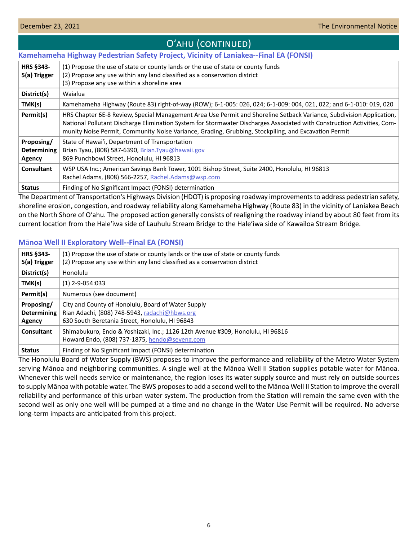<span id="page-5-0"></span>

| O'AHU (CONTINUED)                          |                                                                                                                                                                                                                                                                                                                                                         |  |  |  |
|--------------------------------------------|---------------------------------------------------------------------------------------------------------------------------------------------------------------------------------------------------------------------------------------------------------------------------------------------------------------------------------------------------------|--|--|--|
|                                            | <b>Kamehameha Highway Pedestrian Safety Project, Vicinity of Laniakea--Final EA (FONSI)</b>                                                                                                                                                                                                                                                             |  |  |  |
| <b>HRS §343-</b><br>5(a) Trigger           | (1) Propose the use of state or county lands or the use of state or county funds<br>(2) Propose any use within any land classified as a conservation district<br>(3) Propose any use within a shoreline area                                                                                                                                            |  |  |  |
| District(s)                                | Waialua                                                                                                                                                                                                                                                                                                                                                 |  |  |  |
| TMK(s)                                     | Kamehameha Highway (Route 83) right-of-way (ROW); 6-1-005: 026, 024; 6-1-009: 004, 021, 022; and 6-1-010: 019, 020                                                                                                                                                                                                                                      |  |  |  |
| Permit(s)                                  | HRS Chapter 6E-8 Review, Special Management Area Use Permit and Shoreline Setback Variance, Subdivision Application,<br>National Pollutant Discharge Elimination System for Stormwater Discharges Associated with Construction Activities, Com-<br>munity Noise Permit, Community Noise Variance, Grading, Grubbing, Stockpiling, and Excavation Permit |  |  |  |
| Proposing/<br><b>Determining</b><br>Agency | State of Hawai'i, Department of Transportation<br>Brian Tyau, (808) 587-6390, Brian.Tyau@hawaii.gov<br>869 Punchbowl Street, Honolulu, HI 96813                                                                                                                                                                                                         |  |  |  |
| <b>Consultant</b>                          | WSP USA Inc.; American Savings Bank Tower, 1001 Bishop Street, Suite 2400, Honolulu, HI 96813<br>Rachel Adams, (808) 566-2257, Rachel.Adams@wsp.com                                                                                                                                                                                                     |  |  |  |
| <b>Status</b>                              | Finding of No Significant Impact (FONSI) determination                                                                                                                                                                                                                                                                                                  |  |  |  |

The Department of Transportation's Highways Division (HDOT) is proposing roadway improvements to address pedestrian safety, shoreline erosion, congestion, and roadway reliability along Kamehameha Highway (Route 83) in the vicinity of Laniakea Beach on the North Shore of Oʹahu. The proposed action generally consists of realigning the roadway inland by about 80 feet from its current location from the Haleʹiwa side of Lauhulu Stream Bridge to the Haleʹiwa side of Kawailoa Stream Bridge.

# **M**ā**[noa Well II Exploratory Well--Final EA \(FONSI\)](http://oeqc2.doh.hawaii.gov/Doc_Library/2021-12-23-OA-FEA-Manoa-Well-II-Exploratory-Well.pdf)**

| <b>HRS §343-</b><br>5(a) Trigger           | (1) Propose the use of state or county lands or the use of state or county funds<br>(2) Propose any use within any land classified as a conservation district |
|--------------------------------------------|---------------------------------------------------------------------------------------------------------------------------------------------------------------|
| District(s)                                | Honolulu                                                                                                                                                      |
| TMK(s)                                     | $(1)$ 2-9-054:033                                                                                                                                             |
| Permit(s)                                  | Numerous (see document)                                                                                                                                       |
| Proposing/<br><b>Determining</b><br>Agency | City and County of Honolulu, Board of Water Supply<br>Rian Adachi, (808) 748-5943, radachi@hbws.org<br>630 South Beretania Street, Honolulu, HI 96843         |
| Consultant                                 | Shimabukuro, Endo & Yoshizaki, Inc.; 1126 12th Avenue #309, Honolulu, HI 96816<br>Howard Endo, (808) 737-1875, hendo@seyeng.com                               |
| <b>Status</b>                              | Finding of No Significant Impact (FONSI) determination                                                                                                        |

The Honolulu Board of Water Supply (BWS) proposes to improve the performance and reliability of the Metro Water System serving Mānoa and neighboring communities. A single well at the Mānoa Well II Station supplies potable water for Mānoa. Whenever this well needs service or maintenance, the region loses its water supply source and must rely on outside sources to supply Mānoa with potable water. The BWS proposes to add a second well to the Mānoa Well II Station to improve the overall reliability and performance of this urban water system. The production from the Station will remain the same even with the second well as only one well will be pumped at a time and no change in the Water Use Permit will be required. No adverse long-term impacts are anticipated from this project.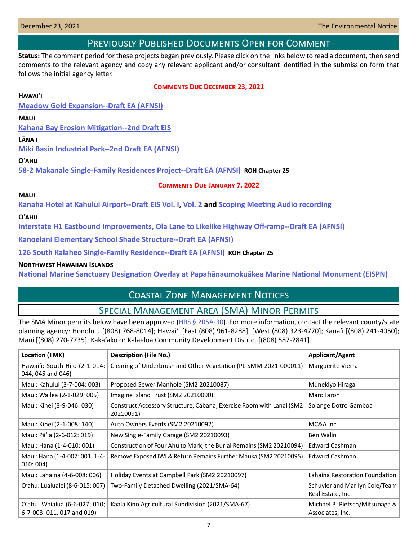# Previously Published Documents Open for Comment

<span id="page-6-0"></span>**Status:** The comment period for these projects began previously. Please click on the links below to read a document, then send comments to the relevant agency and copy any relevant applicant and/or consultant identified in the submission form that follows the initial agency letter.

## **Comments Due December 23, 2021**

## **Hawai**ʹ**i**

**[Meadow Gold Expansion--Draft EA \(AFNSI\)](http://oeqc2.doh.hawaii.gov/Doc_Library/2021-11-23-HA-DEA-Meadow-Gold-Expansion.pdf)**

## **Maui**

**[Kahana Bay Erosion Mitigation--2nd Draft EIS](http://oeqc2.doh.hawaii.gov/EA_EIS_Library/2021-11-08-MA-2nd-DEIS-Kahana-Bay-Erosion-Mitigation.pdf)**

## **L�na**ʹ**i**

**[Miki Basin Industrial Park--2nd Draft EA \(AFNSI\)](http://oeqc2.doh.hawaii.gov/Doc_Library/2021-11-23-LA-2nd-DEA-Miki-Basin-Industrial-Park.pdf)**

## **O**ʹ**ahu**

**[58-2 Makanale Single-Family Residences Project--Draft EA \(AFNSI\)](http://oeqc2.doh.hawaii.gov/Other_TEN_Publications/2021-11-23-OA-Chapter-25-DEA-58-2-Makanale-Single-Family-Residences.pdf) ROH Chapter 25**

## **Comments Due January 7, 2022**

## **Maui**

**[Kanaha Hotel at Kahului Airport--Draft EIS Vol. I](http://oeqc2.doh.hawaii.gov/Doc_Library/2021-11-23-MA-DEIS-Kanaha-Hotel-at-Kahului-Airport-Vol-I.pdf), [Vol. 2](http://oeqc2.doh.hawaii.gov/Doc_Library/2021-11-23-MA-DEIS-Kanaha-Hotel-at-Kahului-Airport-Vol-II.pdf) and [Scoping Meeting Audio recording](http://oeqc2.doh.hawaii.gov/Doc_Library/2021-11-23-MA-DEIS-Kanaha-Hotel-at-Kahului-Airport-Scoping-Mtg-Audio.m4a)**

## **O**ʹ**ahu**

**[Interstate H1 Eastbound Improvements, Ola Lane to Likelike Highway Off-ramp--Draft EA \(AFNSI\)](http://oeqc2.doh.hawaii.gov/Doc_Library/2021-12-08-OA-DEA-Interstate-H1-Eastbound-Improvements,-Ola-Lane-to-Likelike-Highway-Off-ramp.pdf)**

**[Kanoelani Elementary School Shade Structure--Draft EA \(AFNSI\)](http://oeqc2.doh.hawaii.gov/Doc_Library/2021-12-08-OA-DEA-Kanoelani-Elementary-School-Shade-Structure.pdf)**

**[126 South Kalaheo Single-Family Residence--Draft EA \(AFNSI\)](http://oeqc2.doh.hawaii.gov/Other_TEN_Publications/2021-12-08-OA-Chapter-25-DEA-126-South-Kalaheo-Single-Family-Residence.pdf) ROH Chapter 25**

# **Northwest Hawaiian Islands**

**[National Marine Sanctuary Designation Overlay at Papahānaumokuākea Marine National Monument \(EISPN\)](http://oeqc2.doh.hawaii.gov/Doc_Library/2021-12-08-ST-EISPN-National-Marine-Sanctuary-Designation-Papahanaumokuakea-MNM.pdf)**

# Coastal Zone Management Notices

# Special Management Area (SMA) Minor Permits

The SMA Minor permits below have been approved  $(HRS \S 205A-30)$ . For more information, contact the relevant county/state planning agency: Honolulu [(808) 768-8014]; Hawaiʻi [East (808) 961-8288], [West (808) 323-4770]; Kauaʻi [(808) 241-4050]; Maui [(808) 270-7735]; Kakaʻako or Kalaeloa Community Development District [(808) 587-2841]

| Location (TMK)                                              | <b>Description (File No.)</b>                                                     | Applicant/Agent                                     |
|-------------------------------------------------------------|-----------------------------------------------------------------------------------|-----------------------------------------------------|
| Hawai'i: South Hilo (2-1-014:<br>044, 045 and 046)          | Clearing of Underbrush and Other Vegetation (PL-SMM-2021-000011)                  | Marguerite Vierra                                   |
| Maui: Kahului (3-7-004: 003)                                | Proposed Sewer Manhole (SM2 20210087)                                             | Munekiyo Hiraga                                     |
| Maui: Wailea (2-1-029: 005)                                 | Imagine Island Trust (SM2 20210090)                                               | Marc Taron                                          |
| Maui: Kīhei (3-9-046: 030)                                  | Construct Accessory Structure, Cabana, Exercise Room with Lanai (SM2<br>20210091) | Solange Dotro Gamboa                                |
| Maui: Kīhei (2-1-008: 140)                                  | Auto Owners Events (SM2 20210092)                                                 | MC&A Inc                                            |
| Maui: Pā'ia (2-6-012: 019)                                  | New Single-Family Garage (SM2 20210093)                                           | Ben Walin                                           |
| Maui: Hana (1-4-010: 001)                                   | Construction of Four Ahu to Mark, the Burial Remains (SM2 20210094)               | <b>Edward Cashman</b>                               |
| Maui: Hana (1-4-007: 001; 1-4-<br>010:004)                  | Remove Exposed IWI & Return Remains Further Mauka (SM2 20210095)                  | <b>Edward Cashman</b>                               |
| Maui: Lahaina (4-6-008: 006)                                | Holiday Events at Campbell Park (SM2 20210097)                                    | Lahaina Restoration Foundation                      |
| O'ahu: Lualualei (8-6-015: 007)                             | Two-Family Detached Dwelling (2021/SMA-64)                                        | Schuyler and Marilyn Cole/Team<br>Real Estate, Inc. |
| O'ahu: Waialua (6-6-027: 010;<br>6-7-003: 011, 017 and 019) | Kaala Kino Agricultural Subdivision (2021/SMA-67)                                 | Michael B. Pietsch/Mitsunaga &<br>Associates, Inc.  |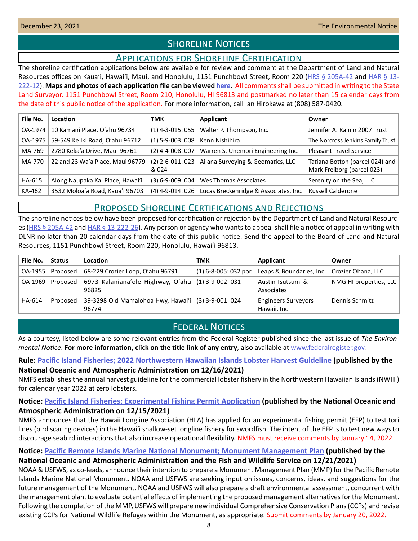# **SHORELINE NOTICES**

# Applications for Shoreline Certification

<span id="page-7-0"></span>The shoreline certification applications below are available for review and comment at the Department of Land and Natural Resources offices on Kaua'i, Hawai'i, Maui, and Honolulu, 1151 Punchbowl Street, Room 220 ([HRS § 205A-42](https://www.capitol.hawaii.gov/hrscurrent/Vol04_Ch0201-0257/HRS0205A/HRS_0205A-0042.htm) and [HAR § 13-](https://dlnr.hawaii.gov/ld/files/2013/07/Ch13-222-Amend-Compil-Stand-Rev1.pdf) [222-12](https://dlnr.hawaii.gov/ld/files/2013/07/Ch13-222-Amend-Compil-Stand-Rev1.pdf)). **Maps and photos of each application file can be viewed [here](https://ags.hawaii.gov/survey/shoreline/#apps)**. All comments shall be submitted in writing to the State Land Surveyor, 1151 Punchbowl Street, Room 210, Honolulu, HI 96813 and postmarked no later than 15 calendar days from the date of this public notice of the application. For more information, call Ian Hirokawa at (808) 587-0420.

| File No. | Location                         | <b>TMK</b>                  | Applicant                             | Owner                                                         |
|----------|----------------------------------|-----------------------------|---------------------------------------|---------------------------------------------------------------|
| OA-1974  | 10 Kamani Place, O'ahu 96734     | $(1)$ 4-3-015: 055          | Walter P. Thompson, Inc.              | Jennifer A. Rainin 2007 Trust                                 |
| OA-1975  | 59-549 Ke Iki Road, O'ahu 96712  | $(1)$ 5-9-003: 008          | Kenn Nishihira                        | The Norcross Jenkins Family Trust                             |
| MA-769   | 2780 Keka'a Drive, Maui 96761    | $(2)$ 4-4-008: 007          | Warren S. Unemori Engineering Inc.    | <b>Pleasant Travel Service</b>                                |
| MA-770   | 22 and 23 Wa'a Place, Maui 96779 | $(2)$ 2-6-011: 023<br>& 024 | Ailana Surveying & Geomatics, LLC     | Tatiana Botton (parcel 024) and<br>Mark Freiborg (parcel 023) |
| HA-615   | Along Naupaka Kai Place, Hawai'i | $(3) 6 - 9 - 009:004$       | Wes Thomas Associates                 | Serenity on the Sea, LLC                                      |
| KA-462   | 3532 Moloa'a Road, Kaua'i 96703  | $(4)$ 4-9-014: 026          | Lucas Breckenridge & Associates, Inc. | <b>Russell Calderone</b>                                      |

# Proposed Shoreline Certifications and Rejections

The shoreline notices below have been proposed for certification or rejection by the Department of Land and Natural Resourc-es [\(HRS § 205A-42](http://HRS § 205A-42) and [HAR § 13-222-26\)](https://dlnr.hawaii.gov/ld/files/2013/07/Ch13-222-Amend-Compil-Stand-Rev1.pdf). Any person or agency who wants to appeal shall file a notice of appeal in writing with DLNR no later than 20 calendar days from the date of this public notice. Send the appeal to the Board of Land and Natural Resources, 1151 Punchbowl Street, Room 220, Honolulu, Hawai'i 96813.

| File No. | <b>Status</b>      | Location                                                       | тмк                     | Applicant                                 | Owner                  |
|----------|--------------------|----------------------------------------------------------------|-------------------------|-------------------------------------------|------------------------|
|          | OA-1955   Proposed | 68-229 Crozier Loop, O'ahu 96791                               | $(1)$ 6-8-005: 032 por. | Leaps & Boundaries, Inc.                  | Crozier Ohana, LLC     |
| OA-1969  | Proposed           | 6973 Kalaniana'ole Highway, O'ahu   (1) 3-9-002: 031<br>96825  |                         | Austin Tsutsumi &<br>Associates           | NMG HI properties, LLC |
| HA-614   | Proposed           | 39-3298 Old Mamalohoa Hwy, Hawai'i   (3) 3-9-001: 024<br>96774 |                         | <b>Engineers Surveyors</b><br>Hawaii, Inc | Dennis Schmitz         |

# **FEDERAL NOTICES**

As a courtesy, listed below are some relevant entries from the Federal Register published since the last issue of *The Environmental Notice*. **For more information, click on the title link of any entry**, also available at [www.federalregister.gov.](http://www.federalregister.gov)

# **Rule: [Pacific Island Fisheries; 2022 Northwestern Hawaiian Islands Lobster Harvest Guideline](https://www.federalregister.gov/documents/2021/12/16/2021-27269/pacific-island-fisheries-2022-northwestern-hawaiian-islands-lobster-harvest-guideline) (published by the**

**National Oceanic and Atmospheric Administration on 12/16/2021)**

NMFS establishes the annual harvest guideline for the commercial lobster fishery in the Northwestern Hawaiian Islands (NWHI) for calendar year 2022 at zero lobsters.

# **Notice: [Pacific Island Fisheries; Experimental Fishing Permit Application](https://www.federalregister.gov/documents/2021/12/15/2021-27083/pacific-island-fisheries-experimental-fishing-permit-application) (published by the National Oceanic and Atmospheric Administration on 12/15/2021)**

NMFS announces that the Hawaii Longline Association (HLA) has applied for an experimental fishing permit (EFP) to test tori lines (bird scaring devices) in the Hawai'i shallow-set longline fishery for swordfish. The intent of the EFP is to test new ways to discourage seabird interactions that also increase operational flexibility. NMFS must receive comments by January 14, 2022.

# **Notice: [Pacific Remote Islands Marine National Monument; Monument Management Plan](https://www.federalregister.gov/documents/2021/12/21/2021-27535/pacific-remote-islands-marine-national-monument-monument-management-plan) (published by the**

# **National Oceanic and Atmospheric Administration and the Fish and Wildlife Service on 12/21/2021)**

NOAA & USFWS, as co-leads, announce their intention to prepare a Monument Management Plan (MMP) for the Pacific Remote Islands Marine National Monument. NOAA and USFWS are seeking input on issues, concerns, ideas, and suggestions for the future management of the Monument. NOAA and USFWS will also prepare a draft environmental assessment, concurrent with the management plan, to evaluate potential effects of implementing the proposed management alternatives for the Monument. Following the completion of the MMP, USFWS will prepare new individual Comprehensive Conservation Plans (CCPs) and revise existing CCPs for National Wildlife Refuges within the Monument, as appropriate. Submit comments by January 20, 2022.